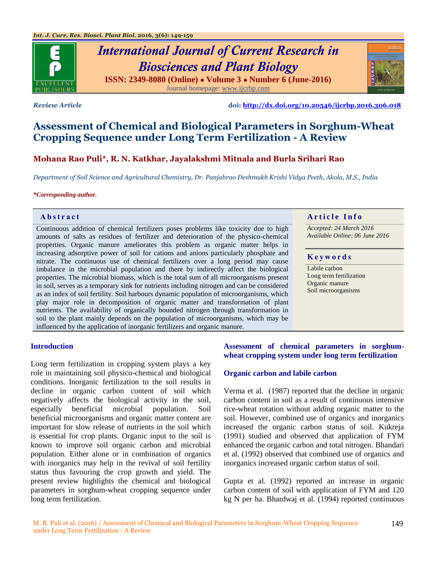

# *International Journal of Current Research in Biosciences and Plant Biology* **ISSN: 2349-8080 (Online) ● Volume 3 ● Number 6 (June-2016)** Journal homepage: [www.ijcrbp.com](http://www.ijcrbp.com/)



*Review Article* **doi:<http://dx.doi.org/10.20546/ijcrbp.2016.306.018>**

# **Assessment of Chemical and Biological Parameters in Sorghum-Wheat Cropping Sequence under Long Term Fertilization - A Review**

# **Mohana Rao Puli\*, R. N. Katkhar, Jayalakshmi Mitnala and Burla Srihari Rao**

*Department of Soil Science and Agricultural Chemistry, Dr. Panjabrao Deshmukh Krishi Vidya Peeth, Akola, M.S., India*

#### *\*Corresponding author.*

Continuous addition of chemical fertilizers poses problems like toxicity due to high amounts of salts as residues of fertilizer and deterioration of the physico-chemical properties. Organic manure ameliorates this problem as organic matter helps in increasing adsorptive power of soil for cations and anions particularly phosphate and nitrate. The continuous use of chemical fertilizers over a long period may cause imbalance in the microbial population and there by indirectly affect the biological properties. The microbial biomass, which is the total sum of all microorganisms present in soil, serves as a temporary sink for nutrients including nitrogen and can be considered as an index of soil fertility. Soil harbours dynamic population of microorganisms, which play major role in decomposition of organic matter and transformation of plant nutrients. The availability of organically bounded nitrogen through transformation in soil to the plant mainly depends on the population of microorganisms, which may be influenced by the application of inorganic fertilizers and organic manure.

# **Abstract And a region of the Info**  $\alpha$  **Article Info**

*Accepted: 24 March 2016 Available Online: 06 June 2016*

#### **K e y w o r d s**

Labile carbon Long term fertilization Organic manure Soil microorganisms

#### **Introduction**

Long term fertilization in cropping system plays a key role in maintaining soil physico-chemical and biological conditions. Inorganic fertilization to the soil results in decline in organic carbon content of soil which negatively affects the biological activity in the soil, especially beneficial microbial population. Soil beneficial microorganisms and organic matter content are important for slow release of nutrients in the soil which is essential for crop plants. Organic input to the soil is known to improve soil organic carbon and microbial population. Either alone or in combination of organics with inorganics may help in the revival of soil fertility status thus favouring the crop growth and yield. The present review highlights the chemical and biological parameters in sorghum-wheat cropping sequence under long term fertilization.

## **Assessment of chemical parameters in sorghumwheat cropping system under long term fertilization**

## **Organic carbon and labile carbon**

Verma et al*.* (1987) reported that the decline in organic carbon content in soil as a result of continuous intensive rice-wheat rotation without adding organic matter to the soil. However, combined use of organics and inorganics increased the organic carbon status of soil. Kukreja (1991) studied and observed that application of FYM enhanced the organic carbon and total nitrogen. Bhandari et al*.* (1992) observed that combined use of organics and inorganics increased organic carbon status of soil.

Gupta et al*.* (1992) reported an increase in organic carbon content of soil with application of FYM and 120 kg N per ha. Bhardwaj et al*.* (1994) reported continuous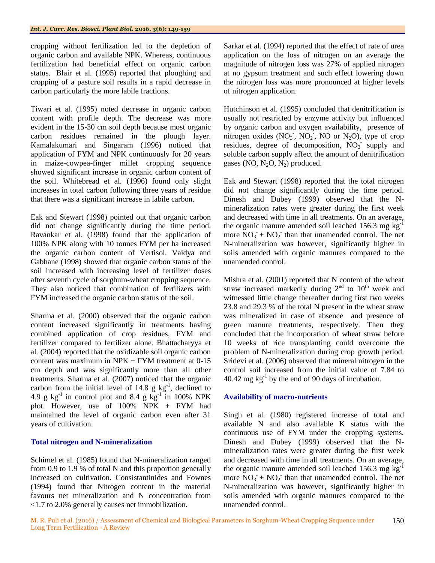cropping without fertilization led to the depletion of organic carbon and available NPK. Whereas, continuous fertilization had beneficial effect on organic carbon status. Blair et al*.* (1995) reported that ploughing and cropping of a pasture soil results in a rapid decrease in carbon particularly the more labile fractions.

Tiwari et al*.* (1995) noted decrease in organic carbon content with profile depth. The decrease was more evident in the 15-30 cm soil depth because most organic carbon residues remained in the plough layer. Kamalakumari and Singaram (1996) noticed that application of FYM and NPK continuously for 20 years in maize-cowpea-finger millet cropping sequence showed significant increase in organic carbon content of the soil. Whitebread et al*.* (1996) found only slight increases in total carbon following three years of residue that there was a significant increase in labile carbon.

Eak and Stewart (1998) pointed out that organic carbon did not change significantly during the time period. Ravankar et al*.* (1998) found that the application of 100% NPK along with 10 tonnes FYM per ha increased the organic carbon content of Vertisol. Vaidya and Gabhane (1998) showed that organic carbon status of the soil increased with increasing level of fertilizer doses after seventh cycle of sorghum-wheat cropping sequence. They also noticed that combination of fertilizers with FYM increased the organic carbon status of the soil.

Sharma et al*.* (2000) observed that the organic carbon content increased significantly in treatments having combined application of crop residues, FYM and fertilizer compared to fertilizer alone. Bhattacharyya et al*.* (2004) reported that the oxidizable soil organic carbon content was maximum in  $NPK + FYM$  treatment at 0-15 cm depth and was significantly more than all other treatments. Sharma et al. (2007) noticed that the organic carbon from the initial level of  $14.8 \text{ g kg}^{-1}$ , declined to 4.9 g  $kg^{-1}$  in control plot and 8.4 g  $kg^{-1}$  in 100% NPK plot. However, use of 100% NPK + FYM had maintained the level of organic carbon even after 31 years of cultivation.

## **Total nitrogen and N-mineralization**

Schimel et al*.* (1985) found that N-mineralization ranged from 0.9 to 1.9 % of total N and this proportion generally increased on cultivation. Consistantinides and Fownes (1994) found that Nitrogen content in the material favours net mineralization and N concentration from <1.7 to 2.0% generally causes net immobilization.

Sarkar et al*.* (1994) reported that the effect of rate of urea application on the loss of nitrogen on an average the magnitude of nitrogen loss was 27% of applied nitrogen at no gypsum treatment and such effect lowering down the nitrogen loss was more pronounced at higher levels of nitrogen application.

Hutchinson et al. (1995) concluded that denitrification is usually not restricted by enzyme activity but influenced by organic carbon and oxygen availability, presence of nitrogen oxides  $(NO<sub>3</sub>$ ,  $NO<sub>2</sub>$ , NO or  $N<sub>2</sub>O$ ), type of crop residues, degree of decomposition,  $NO<sub>3</sub>$  supply and soluble carbon supply affect the amount of denitrification gases (NO,  $N_2O$ ,  $N_2$ ) produced.

Eak and Stewart (1998) reported that the total nitrogen did not change significantly during the time period. Dinesh and Dubey (1999) observed that the Nmineralization rates were greater during the first week and decreased with time in all treatments. On an average, the organic manure amended soil leached 156.3 mg  $kg^{-1}$ more  $\overline{NO_3}$  +  $\overline{NO_2}$  than that unamended control. The net N-mineralization was however, significantly higher in soils amended with organic manures compared to the unamended control.

Mishra et al*.* (2001) reported that N content of the wheat straw increased markedly during  $2<sup>nd</sup>$  to  $10<sup>th</sup>$  week and witnessed little change thereafter during first two weeks 23.8 and 29.3 % of the total N present in the wheat straw was mineralized in case of absence and presence of green manure treatments, respectively. Then they concluded that the incorporation of wheat straw before 10 weeks of rice transplanting could overcome the problem of N-mineralization during crop growth period. Sridevi et al*.* (2006) observed that mineral nitrogen in the control soil increased from the initial value of 7.84 to  $40.42 \text{ mg kg}^{-1}$  by the end of 90 days of incubation.

## **Availability of macro-nutrients**

Singh et al*.* (1980) registered increase of total and available N and also available K status with the continuous use of FYM under the cropping systems. Dinesh and Dubey (1999) observed that the Nmineralization rates were greater during the first week and decreased with time in all treatments. On an average, the organic manure amended soil leached 156.3 mg  $kg^{-1}$ more  $\overline{NO_3}$  +  $\overline{NO_2}$  than that unamended control. The net N-mineralization was however, significantly higher in soils amended with organic manures compared to the unamended control.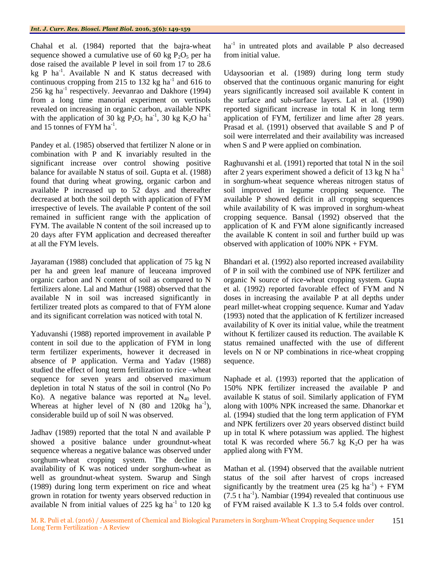Chahal et al*.* (1984) reported that the bajra-wheat sequence showed a cumulative use of 60 kg  $P_2O_5$  per ha dose raised the available P level in soil from 17 to 28.6 kg P ha<sup>-1</sup>. Available N and K status decreased with continuous cropping from 215 to 132 kg ha<sup>-1</sup> and 616 to 256 kg ha<sup>-1</sup> respectively. Jeevanrao and Dakhore (1994) from a long time manorial experiment on vertisols revealed on increasing in organic carbon, available NPK with the application of 30 kg  $P_2O_5$  ha<sup>-1</sup>, 30 kg  $K_2O$  ha<sup>-1</sup> and 15 tonnes of FYM ha<sup>-1</sup>.

Pandey et al.  $(1985)$  observed that fertilizer N alone or in combination with P and K invariably resulted in the significant increase over control showing positive balance for available N status of soil. Gupta et al*.* (1988) found that during wheat growing, organic carbon and available P increased up to 52 days and thereafter decreased at both the soil depth with application of FYM irrespective of levels. The available P content of the soil remained in sufficient range with the application of FYM. The available N content of the soil increased up to 20 days after FYM application and decreased thereafter at all the FYM levels.

Jayaraman (1988) concluded that application of 75 kg N per ha and green leaf manure of leuceana improved organic carbon and N content of soil as compared to N fertilizers alone. Lal and Mathur (1988) observed that the available N in soil was increased significantly in fertilizer treated plots as compared to that of FYM alone and its significant correlation was noticed with total N.

Yaduvanshi (1988) reported improvement in available P content in soil due to the application of FYM in long term fertilizer experiments, however it decreased in absence of P application. Verma and Yadav (1988) studied the effect of long term fertilization to rice –wheat sequence for seven years and observed maximum depletion in total N status of the soil in control (No Po Ko). A negative balance was reported at  $N_{40}$  level. Whereas at higher level of N  $(80 \text{ and } 120 \text{kg } \text{ha}^{-1})$ , considerable build up of soil N was observed.

Jadhav (1989) reported that the total N and available P showed a positive balance under groundnut-wheat sequence whereas a negative balance was observed under sorghum-wheat cropping system. The decline in availability of K was noticed under sorghum-wheat as well as groundnut-wheat system. Swarup and Singh (1989) during long term experiment on rice and wheat grown in rotation for twenty years observed reduction in available N from initial values of 225 kg ha $^{-1}$  to 120 kg

 $ha^{-1}$  in untreated plots and available P also decreased from initial value.

Udaysoorian et al*.* (1989) during long term study observed that the continuous organic manuring for eight years significantly increased soil available K content in the surface and sub-surface layers. Lal et al*.* (1990) reported significant increase in total K in long term application of FYM, fertilizer and lime after 28 years. Prasad et al. (1991) observed that available S and P of soil were interrelated and their availability was increased when S and P were applied on combination.

Raghuvanshi et al*.* (1991) reported that total N in the soil after 2 years experiment showed a deficit of 13 kg N ha-1 in sorghum-wheat sequence whereas nitrogen status of soil improved in legume cropping sequence. The available P showed deficit in all cropping sequences while availability of K was improved in sorghum-wheat cropping sequence. Bansal (1992) observed that the application of K and FYM alone significantly increased the available K content in soil and further build up was observed with application of 100% NPK + FYM.

Bhandari et al*.* (1992) also reported increased availability of P in soil with the combined use of NPK fertilizer and organic N source of rice-wheat cropping system. Gupta et al*.* (1992) reported favorable effect of FYM and N doses in increasing the available P at all depths under pearl millet-wheat cropping sequence. Kumar and Yadav (1993) noted that the application of K fertilizer increased availability of K over its initial value, while the treatment without K fertilizer caused its reduction. The available K status remained unaffected with the use of different levels on N or NP combinations in rice-wheat cropping sequence.

Naphade et al*.* (1993) reported that the application of 150% NPK fertilizer increased the available P and available K status of soil. Similarly application of FYM along with 100% NPK increased the same. Dhanorkar et al*.* (1994) studied that the long term application of FYM and NPK fertilizers over 20 years observed distinct build up in total K where potassium was applied. The highest total K was recorded where  $56.7$  kg  $K<sub>2</sub>O$  per ha was applied along with FYM.

Mathan et al*.* (1994) observed that the available nutrient status of the soil after harvest of crops increased significantly by the treatment urea  $(25 \text{ kg} \text{ ha}^{-1}) + \text{FYM}$  $(7.5 \text{ t ha}^{-1})$ . Nambiar (1994) revealed that continuous use of FYM raised available K 1.3 to 5.4 folds over control.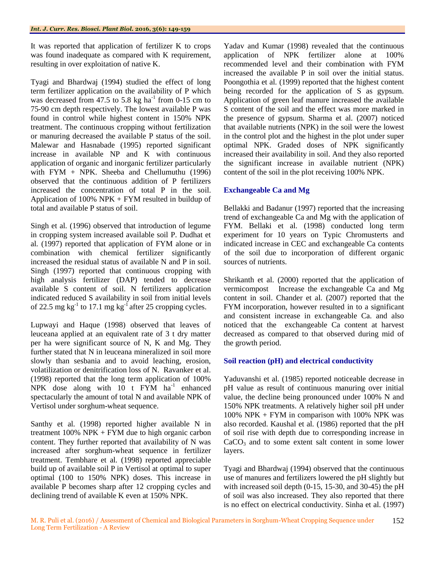It was reported that application of fertilizer K to crops was found inadequate as compared with K requirement, resulting in over exploitation of native K.

Tyagi and Bhardwaj (1994) studied the effect of long term fertilizer application on the availability of P which was decreased from 47.5 to 5.8 kg ha<sup>-1</sup> from 0-15 cm to 75-90 cm depth respectively. The lowest available P was found in control while highest content in 150% NPK treatment. The continuous cropping without fertilization or manuring decreased the available P status of the soil. Malewar and Hasnabade (1995) reported significant increase in available NP and K with continuous application of organic and inorganic fertilizer particularly with FYM + NPK. Sheeba and Chellumuthu  $(1996)$ observed that the continuous addition of P fertilizers increased the concentration of total P in the soil. Application of 100% NPK + FYM resulted in buildup of total and available P status of soil.

Singh et al*.* (1996) observed that introduction of legume in cropping system increased available soil P. Dudhat et al*.* (1997) reported that application of FYM alone or in combination with chemical fertilizer significantly increased the residual status of available N and P in soil. Singh (1997) reported that continuous cropping with high analysis fertilizer (DAP) tended to decrease available S content of soil. N fertilizers application indicated reduced S availability in soil from initial levels of 22.5 mg kg<sup>-1</sup> to 17.1 mg kg<sup>-1</sup> after 25 cropping cycles.

Lupwayi and Haque (1998) observed that leaves of leuceana applied at an equivalent rate of 3 t dry matter per ha were significant source of N, K and Mg. They further stated that N in leuceana mineralized in soil more slowly than sesbania and to avoid leaching, erosion, volatilization or denitrification loss of N. Ravanker et al*.* (1998) reported that the long term application of 100% NPK dose along with  $10$  t FYM ha<sup>-1</sup> enhanced spectacularly the amount of total N and available NPK of Vertisol under sorghum-wheat sequence.

Santhy et al*.* (1998) reported higher available N in treatment  $100\%$  NPK + FYM due to high organic carbon content. They further reported that availability of N was increased after sorghum-wheat sequence in fertilizer treatment. Tembhare et al*.* (1998) reported appreciable build up of available soil P in Vertisol at optimal to super optimal (100 to 150% NPK) doses. This increase in available P becomes sharp after 12 cropping cycles and declining trend of available K even at 150% NPK.

Yadav and Kumar (1998) revealed that the continuous application of NPK fertilizer alone at 100% recommended level and their combination with FYM increased the available P in soil over the initial status. Poongothia et al*.* (1999) reported that the highest content being recorded for the application of S as gypsum. Application of green leaf manure increased the available S content of the soil and the effect was more marked in the presence of gypsum. Sharma et al*.* (2007) noticed that available nutrients (NPK) in the soil were the lowest in the control plot and the highest in the plot under super optimal NPK. Graded doses of NPK significantly increased their availability in soil. And they also reported the significant increase in available nutrient (NPK) content of the soil in the plot receiving 100% NPK.

## **Exchangeable Ca and Mg**

Bellakki and Badanur (1997) reported that the increasing trend of exchangeable Ca and Mg with the application of FYM. Bellaki et al*.* (1998) conducted long term experiment for 10 years on Typic Chromusterts and indicated increase in CEC and exchangeable Ca contents of the soil due to incorporation of different organic sources of nutrients.

Shrikanth et al*.* (2000) reported that the application of vermicompost Increase the exchangeable Ca and Mg content in soil. Chander et al*.* (2007) reported that the FYM incorporation, however resulted in to a significant and consistent increase in exchangeable Ca. and also noticed that the exchangeable Ca content at harvest decreased as compared to that observed during mid of the growth period.

## **Soil reaction (pH) and electrical conductivity**

Yaduvanshi et al*.* (1985) reported noticeable decrease in pH value as result of continuous manuring over initial value, the decline being pronounced under 100% N and 150% NPK treatments. A relatively higher soil pH under 100% NPK + FYM in comparison with 100% NPK was also recorded. Kaushal et al*.* (1986) reported that the pH of soil rise with depth due to corresponding increase in  $CaCO<sub>3</sub>$  and to some extent salt content in some lower layers.

Tyagi and Bhardwaj (1994) observed that the continuous use of manures and fertilizers lowered the pH slightly but with increased soil depth (0-15, 15-30, and 30-45) the pH of soil was also increased. They also reported that there is no effect on electrical conductivity. Sinha et al*.* (1997)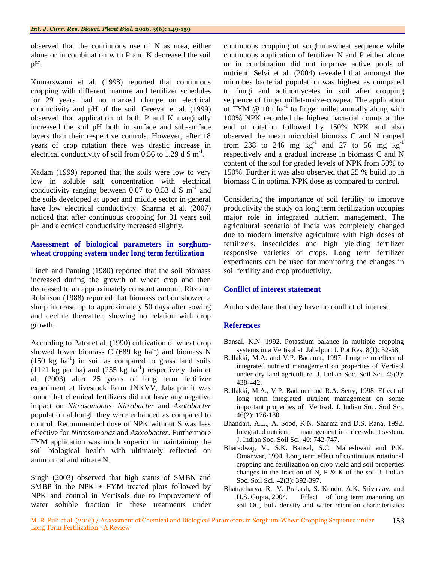observed that the continuous use of N as urea, either alone or in combination with P and K decreased the soil pH.

Kumarswami et al*.* (1998) reported that continuous cropping with different manure and fertilizer schedules for 29 years had no marked change on electrical conductivity and pH of the soil. Greeval et al*.* (1999) observed that application of both P and K marginally increased the soil pH both in surface and sub-surface layers than their respective controls. However, after 18 years of crop rotation there was drastic increase in electrical conductivity of soil from 0.56 to 1.29 d S  $m^{-1}$ .

Kadam (1999) reported that the soils were low to very low in soluble salt concentration with electrical conductivity ranging between 0.07 to 0.53 d S  $m^{-1}$  and the soils developed at upper and middle sector in general have low electrical conductivity. Sharma et al*.* (2007) noticed that after continuous cropping for 31 years soil pH and electrical conductivity increased slightly.

#### **Assessment of biological parameters in sorghumwheat cropping system under long term fertilization**

Linch and Panting (1980) reported that the soil biomass increased during the growth of wheat crop and then decreased to an approximately constant amount. Ritz and Robinson (1988) reported that biomass carbon showed a sharp increase up to approximately 50 days after sowing and decline thereafter, showing no relation with crop growth.

According to Patra et al*.* (1990) cultivation of wheat crop showed lower biomass C (689 kg ha<sup>-1</sup>) and biomass N  $(150 \text{ kg } \text{ha}^{-1})$  in soil as compared to grass land soils  $(1121 \text{ kg per ha})$  and  $(255 \text{ kg ha}^{-1})$  respectively. Jain et al*.* (2003) after 25 years of long term fertilizer experiment at livestock Farm JNKVV, Jabalpur it was found that chemical fertilizers did not have any negative impact on *Nitrosomonas*, *Nitrobacter* and *Azotobacter* population although they were enhanced as compared to control. Recommended dose of NPK without S was less effective for *Nitrosomonas* and *Azotobacter*. Furthermore FYM application was much superior in maintaining the soil biological health with ultimately reflected on ammonical and nitrate N.

Singh (2003) observed that high status of SMBN and SMBP in the NPK  $+$  FYM treated plots followed by NPK and control in Vertisols due to improvement of water soluble fraction in these treatments under

continuous cropping of sorghum-wheat sequence while continuous application of fertilizer N and P either alone or in combination did not improve active pools of nutrient. Selvi et al*.* (2004) revealed that amongst the microbes bacterial population was highest as compared to fungi and actinomycetes in soil after cropping sequence of finger millet-maize-cowpea. The application of FYM  $@$  10 t ha<sup>-1</sup> to finger millet annually along with 100% NPK recorded the highest bacterial counts at the end of rotation followed by 150% NPK and also observed the mean microbial biomass C and N ranged from 238 to 246 mg  $\text{kg}^{-1}$  and 27 to 56 mg  $\text{kg}^{-1}$ respectively and a gradual increase in biomass C and N content of the soil for graded levels of NPK from 50% to 150%. Further it was also observed that 25 % build up in biomass C in optimal NPK dose as compared to control.

Considering the importance of soil fertility to improve productivity the study on long term fertilization occupies major role in integrated nutrient management. The agricultural scenario of India was completely changed due to modern intensive agriculture with high doses of fertilizers, insecticides and high yielding fertilizer responsive varieties of crops. Long term fertilizer experiments can be used for monitoring the changes in soil fertility and crop productivity.

## **Conflict of interest statement**

Authors declare that they have no conflict of interest.

#### **References**

- Bansal, K.N. 1992. Potassium balance in multiple cropping systems in a Vertisol at Jabalpur. J. Pot Res. 8(1): 52-58.
- Bellakki, M.A. and V.P. Badanur, 1997. Long term effect of integrated nutrient management on properties of Vertisol under dry land agriculture. J. Indian Soc. Soil Sci. 45(3): 438-442.
- Bellakki, M.A., V.P. Badanur and R.A. Setty, 1998. Effect of long term integrated nutrient management on some important properties of Vertisol. J. Indian Soc. Soil Sci. 46(2): 176-180.
- Bhandari, A.L., A. Sood, K.N. Sharma and D.S. Rana, 1992. Integrated nutrient management in a rice-wheat system. J. Indian Soc. Soil Sci. 40: 742-747.
- Bharadwaj, V., S.K. Bansal, S.C. Maheshwari and P.K. Omanwar, 1994. Long term effect of continuous rotational cropping and fertilization on crop yield and soil properties changes in the fraction of N, P  $\&$  K of the soil J. Indian Soc. Soil Sci. 42(3): 392-397.
- Bhattacharya, R., V. Prakash, S. Kundu, A.K. Srivastav, and H.S. Gupta, 2004. Effect of long term manuring on soil OC, bulk density and water retention characteristics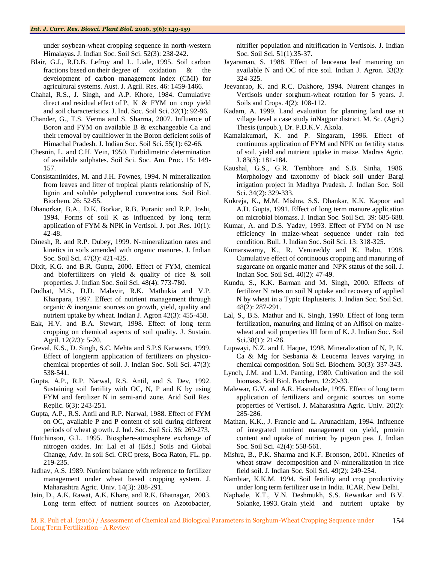under soybean-wheat cropping sequence in north-western Himalayas. J. Indian Soc. Soil Sci. 52(3): 238-242.

- Blair, G.J., R.D.B. Lefroy and L. Liale, 1995. Soil carbon fractions based on their degree of oxidation & the development of carbon management index (CMI) for agricultural systems. Aust. J. Agril. Res. 46: 1459-1466.
- Chahal, R.S., J. Singh, and A.P. Khore, 1984. Cumulative direct and residual effect of P, K & FYM on crop yield and soil characteristics. J. Ind. Soc. Soil Sci. 32(1): 92-96.
- Chander, G., T.S. Verma and S. Sharma, 2007. Influence of Boron and FYM on available B & exchangeable Ca and their removal by cauliflower in the Boron deficient soils of Himachal Pradesh. J. Indian Soc. Soil Sci. 55(1): 62-66.
- Chesnin, L. and C.H. Yein, 1950. Turbidimetric determination of available sulphates. Soil Sci. Soc. Am. Proc. 15: 149- 157.
- Consistantinides, M. and J.H. Fownes, 1994. N mineralization from leaves and litter of tropical plants relationship of N, lignin and soluble polyphenol concentrations. Soil Biol. Biochem. 26: 52-55.
- Dhanorkar, B.A., D.K. Borkar, R.B. Puranic and R.P. Joshi, 1994. Forms of soil K as influenced by long term application of FYM & NPK in Vertisol. J. pot .Res. 10(1): 42-48.
- Dinesh, R. and R.P. Dubey, 1999. N-mineralization rates and kinetics in soils amended with organic manures. J. Indian Soc. Soil Sci. 47(3): 421-425.
- Dixit, K.G. and B.R. Gupta, 2000. Effect of FYM, chemical and biofertilizers on yield & quality of rice & soil properties. J. Indian Soc. Soil Sci. 48(4): 773-780.
- Dudhat, M.S., D.D. Malavir, R.K. Mathukia and V.P. Khanpara, 1997. Effect of nutrient management through organic & inorganic sources on growth, yield, quality and nutrient uptake by wheat. Indian J. Agron 42(3): 455-458.
- Eak, H.V. and B.A. Stewart, 1998. Effect of long term cropping on chemical aspects of soil quality. J. Sustain. Agril. 12(2/3): 5-20.
- Greval, K.S., D. Singh, S.C. Mehta and S.P.S Karwasra, 1999. Effect of longterm application of fertilizers on physicochemical properties of soil. J. Indian Soc. Soil Sci. 47(3): 538-541.
- Gupta, A.P., R.P. Narwal, R.S. Antil, and S. Dev, 1992. Sustaining soil fertility with OC, N, P and K by using FYM and fertilizer N in semi-arid zone. Arid Soil Res. Replic. 6(3): 243-251.
- Gupta, A.P., R.S. Antil and R.P. Narwal, 1988. Effect of FYM on OC, available P and P content of soil during different periods of wheat growth. J. Ind. Soc. Soil Sci. 36: 269-273.
- Hutchinson, G.L. 1995. Biosphere-atmosphere exchange of nitrogen oxides. In: Lal et al (Eds.) Soils and Global Change, Adv. In soil Sci. CRC press, Boca Raton, FL. pp. 219-235.
- Jadhav, A.S. 1989. Nutrient balance with reference to fertilizer management under wheat based cropping system. J. Maharashtra Agric. Univ. 14(3): 288-291.
- Jain, D., A.K. Rawat, A.K. Khare, and R.K. Bhatnagar, 2003. Long term effect of nutrient sources on Azotobacter,

nitrifier population and nitrification in Vertisols. J. Indian Soc. Soil Sci. 51(1):35-37.

- Jayaraman, S. 1988. Effect of leuceana leaf manuring on available N and OC of rice soil. Indian J. Agron. 33(3): 324-325.
- Jeevanrao, K. and R.C. Dakhore, 1994. Nutrent changes in Vertisols under sorghum-wheat rotation for 5 years. J. Soils and Crops. 4(2): 108-112.
- Kadam, A. 1999. Land evaluation for planning land use at village level a case study inNagpur district. M. Sc. (Agri.) Thesis (unpub.), Dr. P.D.K.V. Akola.
- Kamalakumari, K. and P. Singaram, 1996. Effect of continuous application of FYM and NPK on fertility status of soil, yield and nutrient uptake in maize. Madras Agric. J. 83(3): 181-184.
- Kaushal, G.S., G.R. Tembhore and S.B. Sinha, 1986. Morphology and taxonomy of black soil under Bargi irrigation project in Madhya Pradesh. J. Indian Soc. Soil Sci. 34(2): 329-333.
- Kukreja, K., M.M. Mishra, S.S. Dhankar, K.K. Kapoor and A.D. Gupta, 1991. Effect of long term manure application on microbial biomass. J. Indian Soc. Soil Sci. 39: 685-688.
- Kumar, A. and D.S. Yadav, 1993. Effect of FYM on N use efficiency in maize-wheat sequence under rain fed condition. Bull. J. Indian Soc. Soil Sci. 13: 318-325.
- Kumarswamy, K., R. Venureddy and K. Babu, 1998. Cumulative effect of continuous cropping and manuring of sugarcane on organic matter and NPK status of the soil. J. Indian Soc. Soil Sci. 40(2): 47-49.
- Kundu, S., K.K. Barman and M. Singh, 2000. Effects of fertilizer N rates on soil N uptake and recovery of applied N by wheat in a Typic Haplusterts. J. Indian Soc. Soil Sci. 48(2): 287-291.
- Lal, S., B.S. Mathur and K. Singh, 1990. Effect of long term fertilization, manuring and liming of an Alfisol on maizewheat and soil properties III form of K. J. Indian Soc. Soil Sci.38(1): 21-26.
- Lupwayi, N.Z. and I. Haque, 1998. Mineralization of N, P, K, Ca & Mg for Sesbania & Leucerna leaves varying in chemical composition. Soil Sci. Biochem. 30(3): 337-343.
- Lynch, J.M. and L.M. Panting, 1980. Cultivation and the soil biomass. Soil Biol. Biochem. 12:29-33.
- Malewar, G.V. and A.R. Hasnabade, 1995. Effect of long term application of fertilizers and organic sources on some properties of Vertisol. J. Maharashtra Agric. Univ. 20(2): 285-286.
- Mathan, K.K., J. Francic and L. Arunachlam, 1994. Influence of integrated nutrient management on yield, protein content and uptake of nutrient by pigeon pea. J. Indian Soc. Soil Sci. 42(4): 558-561.
- Mishra, B., P.K. Sharma and K.F. Bronson, 2001. Kinetics of wheat straw decomposition and N-mineralization in rice field soil. J. Indian Soc. Soil Sci. 49(2): 249-254.
- Nambiar, K.K.M. 1994. Soil fertility and crop productivity under long term fertilizer use in India. ICAR, New Delhi.
- Naphade, K.T., V.N. Deshmukh, S.S. Rewatkar and B.V. Solanke, 1993. Grain yield and nutrient uptake by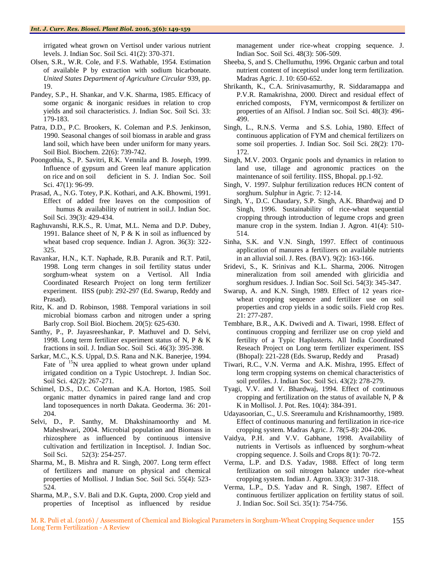irrigated wheat grown on Vertisol under various nutrient levels. J. Indian Soc. Soil Sci. 41(2): 370-371.

- Olsen, S.R., W.R. Cole, and F.S. Wathable, 1954. Estimation of available P by extraction with sodium bicarbonate. *United States Department of Agriculture Circular* 939, pp. 19.
- Pandey, S.P., H. Shankar, and V.K. Sharma, 1985. Efficacy of some organic & inorganic residues in relation to crop yields and soil characteristics. J. Indian Soc. Soil Sci. 33: 179-183.
- Patra, D.D., P.C. Brookers, K. Coleman and P.S. Jenkinson, 1990. Seasonal changes of soil biomass in arable and grass land soil, which have been under uniform for many years. Soil Biol. Biochem. 22(6): 739-742.
- Poongothia, S., P. Savitri, R.K. Vennila and B. Joseph, 1999. Influence of gypsum and Green leaf manure application on rice and on soil deficient in S. J. Indian Soc. Soil Sci. 47(1): 96-99.
- Prasad, A., N.G. Totey, P.K. Kothari, and A.K. Bhowmi, 1991. Effect of added free leaves on the composition of humus & availability of nutrient in soil. J. Indian Soc. Soil Sci. 39(3): 429-434.
- Raghuvanshi, R.K.S., R. Umat, M.L. Nema and D.P. Dubey, 1991. Balance sheet of N, P  $& K$  in soil as influenced by wheat based crop sequence. Indian J. Agron. 36(3): 322- 325.
- Ravankar, H.N., K.T. Naphade, R.B. Puranik and R.T. Patil, 1998. Long term changes in soil fertility status under sorghum-wheat system on a Vertisol. All India Coordinated Research Project on long term fertilizer experiment. IISS (pub): 292-297 (Ed. Swarup, Reddy and Prasad).
- Ritz, K. and D. Robinson, 1988. Temporal variations in soil microbial biomass carbon and nitrogen under a spring Barly crop. Soil Biol. Biochem. 20(5): 625-630.
- Santhy, P., P. Jayasreeshankar, P. Mathuvel and D. Selvi, 1998. Long term fertilizer experiment status of N, P & K fractions in soil. J. Indian Soc. Soil Sci. 46(3): 395-398.
- Sarkar, M.C., K.S. Uppal, D.S. Rana and N.K. Banerjee, 1994. Fate of <sup>15</sup>N urea applied to wheat grown under upland irrigated condition on a Typic Ustochrept. J. Indian Soc. Soil Sci. 42(2): 267-271.
- Schimel, D.S., D.C. Coleman and K.A. Horton, 1985. Soil organic matter dynamics in paired range land and crop land toposequences in north Dakata. Geoderma. 36: 201- 204.
- Selvi, D., P. Santhy, M. Dhakshinamoorthy and M. Maheshwari, 2004. Microbial population and Biomass in rhizosphere as influenced by continuous intensive cultivation and fertilization in Inceptisol. J. Indian Soc. Soil Sci. 52(3): 254-257.
- Sharma, M., B. Mishra and R. Singh, 2007. Long term effect of fertilizers and manure on physical and chemical properties of Mollisol. J Indian Soc. Soil Sci. 55(4): 523- 524.
- Sharma, M.P., S.V. Bali and D.K. Gupta, 2000. Crop yield and properties of Inceptisol as influenced by residue

management under rice-wheat cropping sequence. J. Indian Soc. Soil Sci. 48(3): 506-509.

- Sheeba, S, and S. Chellumuthu, 1996. Organic carbun and total nutrient content of inceptisol under long term fertilization. Madras Agric. J. 10: 650-652.
- Shrikanth, K., C.A. Srinivasamurthy, R. Siddaramappa and P.V.R. Ramakrishna, 2000. Direct and residual effect of enriched composts, FYM, vermicompost & fertilizer on properties of an Alfisol. J Indian soc. Soil Sci. 48(3): 496- 499.
- Singh, L., R.N.S. Verma and S.S. Lohia, 1980. Effect of continuous application of FYM and chemical fertilizers on some soil properties. J. Indian Soc. Soil Sci. 28(2): 170- 172.
- Singh, M.V. 2003. Organic pools and dynamics in relation to land use, tillage and agronomic practices on the maintenance of soil fertility. IISS, Bhopal. pp.1-92.
- Singh, V. 1997. Sulphur fertilization reduces HCN content of sorghum. Sulphur in Agric. 7: 12-14.
- Singh, Y., D.C. Chaudary, S.P. Singh, A.K. Bhardwaj and D Singh, 1996. Sustainability of rice-wheat sequential cropping through introduction of legume crops and green manure crop in the system. Indian J. Agron. 41(4): 510- 514.
- Sinha, S.K. and V.N. Singh, 1997. Effect of continuous application of manures a fertilizers on available nutrients in an alluvial soil. J. Res. (BAV). 9(2): 163-166.
- Sridevi, S., K. Srinivas and K.L. Sharma, 2006. Nitrogen mineralization from soil amended with gliricidia and sorghum residues. J. Indian Soc. Soil Sci. 54(3): 345-347.
- Swarup, A. and K.N. Singh, 1989. Effect of 12 years ricewheat cropping sequence and fertilizer use on soil properties and crop yields in a sodic soils. Field crop Res. 21: 277-287.
- Tembhare, B.R., A.K. Dwivedi and A. Tiwari, 1998. Effect of continuous cropping and ferrilizer use on crop yield and fertility of a Typic Haplusterts. All India Coordinated Reseach Project on Long term fertilizer experiment. ISS (Bhopal): 221-228 (Eds. Swarup, Reddy and Prasad)
- Tiwari, R.C., V.N. Verma and A.K. Mishra, 1995. Effect of long term cropping systems on chemical characteristics of soil profiles. J. Indian Soc. Soil Sci. 43(2): 278-279.
- Tyagi, V.V. and V. Bhardwaj, 1994. Effect of continuous cropping and fertilization on the status of available N, P & K in Mollisol. J. Pot. Res. 10(4): 384-391.
- Udayasoorian, C., U.S. Sreeramulu and Krishnamoorthy, 1989. Effect of continuous manuring and fertilization in rice-rice cropping system. Madras Agric. J. 78(5-8): 204-206.
- Vaidya, P.H. and V.V. Gabhane, 1998. Availability of nutrients in Vertisols as influenced by sorghum-wheat cropping sequence. J. Soils and Crops 8(1): 70-72.
- Verma, L.P. and D.S. Yadav, 1988. Effect of long term fertilization on soil nitrogen balance under rice-wheat cropping system. Indian J. Agron. 33(3): 317-318.
- Verma, L.P., D.S. Yadav and R. Singh, 1987. Effect of continuous fertilizer application on fertility status of soil. J. Indian Soc. Soil Sci. 35(1): 754-756.